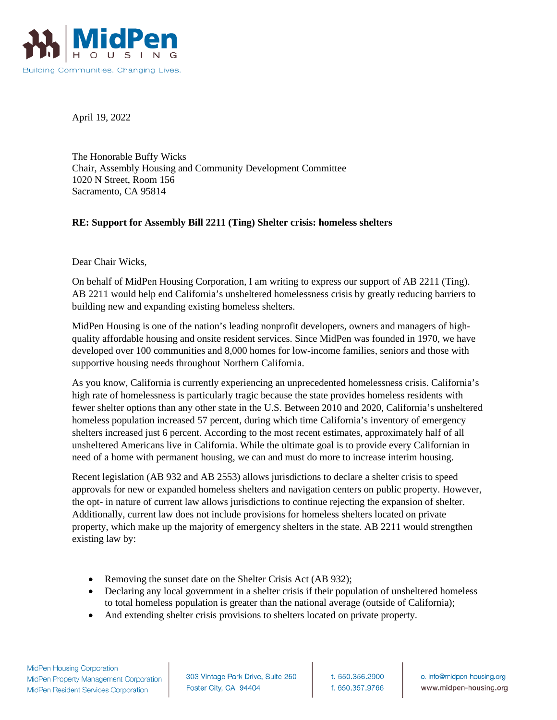

April 19, 2022

The Honorable Buffy Wicks Chair, Assembly Housing and Community Development Committee 1020 N Street, Room 156 Sacramento, CA 95814

## **RE: Support for Assembly Bill 2211 (Ting) Shelter crisis: homeless shelters**

Dear Chair Wicks,

On behalf of MidPen Housing Corporation, I am writing to express our support of AB 2211 (Ting). AB 2211 would help end California's unsheltered homelessness crisis by greatly reducing barriers to building new and expanding existing homeless shelters.

MidPen Housing is one of the nation's leading nonprofit developers, owners and managers of highquality affordable housing and onsite resident services. Since MidPen was founded in 1970, we have developed over 100 communities and 8,000 homes for low-income families, seniors and those with supportive housing needs throughout Northern California.

As you know, California is currently experiencing an unprecedented homelessness crisis. California's high rate of homelessness is particularly tragic because the state provides homeless residents with fewer shelter options than any other state in the U.S. Between 2010 and 2020, California's unsheltered homeless population increased 57 percent, during which time California's inventory of emergency shelters increased just 6 percent. According to the most recent estimates, approximately half of all unsheltered Americans live in California. While the ultimate goal is to provide every Californian in need of a home with permanent housing, we can and must do more to increase interim housing.

Recent legislation (AB 932 and AB 2553) allows jurisdictions to declare a shelter crisis to speed approvals for new or expanded homeless shelters and navigation centers on public property. However, the opt- in nature of current law allows jurisdictions to continue rejecting the expansion of shelter. Additionally, current law does not include provisions for homeless shelters located on private property, which make up the majority of emergency shelters in the state. AB 2211 would strengthen existing law by:

- Removing the sunset date on the Shelter Crisis Act (AB 932);
- Declaring any local government in a shelter crisis if their population of unsheltered homeless to total homeless population is greater than the national average (outside of California);
- And extending shelter crisis provisions to shelters located on private property.

303 Vintage Park Drive, Suite 250 Foster City, CA 94404

t. 650.356.2900 f. 650.357.9766

e. info@midpen-housing.org www.midpen-housing.org